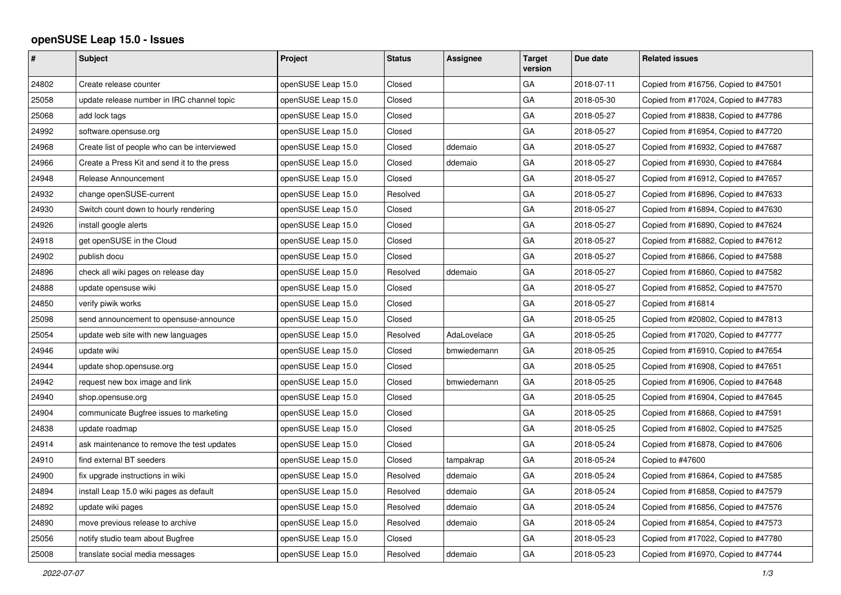## **openSUSE Leap 15.0 - Issues**

| #     | <b>Subject</b>                               | <b>Project</b>     | <b>Status</b> | Assignee    | Target<br>version | Due date   | <b>Related issues</b>                |
|-------|----------------------------------------------|--------------------|---------------|-------------|-------------------|------------|--------------------------------------|
| 24802 | Create release counter                       | openSUSE Leap 15.0 | Closed        |             | GA                | 2018-07-11 | Copied from #16756, Copied to #47501 |
| 25058 | update release number in IRC channel topic   | openSUSE Leap 15.0 | Closed        |             | GA                | 2018-05-30 | Copied from #17024, Copied to #47783 |
| 25068 | add lock tags                                | openSUSE Leap 15.0 | Closed        |             | GA                | 2018-05-27 | Copied from #18838, Copied to #47786 |
| 24992 | software.opensuse.org                        | openSUSE Leap 15.0 | Closed        |             | GA                | 2018-05-27 | Copied from #16954, Copied to #47720 |
| 24968 | Create list of people who can be interviewed | openSUSE Leap 15.0 | Closed        | ddemaio     | GA                | 2018-05-27 | Copied from #16932, Copied to #47687 |
| 24966 | Create a Press Kit and send it to the press  | openSUSE Leap 15.0 | Closed        | ddemaio     | GA                | 2018-05-27 | Copied from #16930, Copied to #47684 |
| 24948 | Release Announcement                         | openSUSE Leap 15.0 | Closed        |             | GA                | 2018-05-27 | Copied from #16912, Copied to #47657 |
| 24932 | change openSUSE-current                      | openSUSE Leap 15.0 | Resolved      |             | GA                | 2018-05-27 | Copied from #16896, Copied to #47633 |
| 24930 | Switch count down to hourly rendering        | openSUSE Leap 15.0 | Closed        |             | GA                | 2018-05-27 | Copied from #16894, Copied to #47630 |
| 24926 | install google alerts                        | openSUSE Leap 15.0 | Closed        |             | GA                | 2018-05-27 | Copied from #16890, Copied to #47624 |
| 24918 | get openSUSE in the Cloud                    | openSUSE Leap 15.0 | Closed        |             | GA                | 2018-05-27 | Copied from #16882, Copied to #47612 |
| 24902 | publish docu                                 | openSUSE Leap 15.0 | Closed        |             | GA                | 2018-05-27 | Copied from #16866, Copied to #47588 |
| 24896 | check all wiki pages on release day          | openSUSE Leap 15.0 | Resolved      | ddemaio     | GA                | 2018-05-27 | Copied from #16860, Copied to #47582 |
| 24888 | update opensuse wiki                         | openSUSE Leap 15.0 | Closed        |             | GA                | 2018-05-27 | Copied from #16852, Copied to #47570 |
| 24850 | verify piwik works                           | openSUSE Leap 15.0 | Closed        |             | GA                | 2018-05-27 | Copied from #16814                   |
| 25098 | send announcement to opensuse-announce       | openSUSE Leap 15.0 | Closed        |             | GA                | 2018-05-25 | Copied from #20802, Copied to #47813 |
| 25054 | update web site with new languages           | openSUSE Leap 15.0 | Resolved      | AdaLovelace | GA                | 2018-05-25 | Copied from #17020, Copied to #47777 |
| 24946 | update wiki                                  | openSUSE Leap 15.0 | Closed        | bmwiedemann | GА                | 2018-05-25 | Copied from #16910, Copied to #47654 |
| 24944 | update shop.opensuse.org                     | openSUSE Leap 15.0 | Closed        |             | GA                | 2018-05-25 | Copied from #16908, Copied to #47651 |
| 24942 | request new box image and link               | openSUSE Leap 15.0 | Closed        | bmwiedemann | GA                | 2018-05-25 | Copied from #16906, Copied to #47648 |
| 24940 | shop.opensuse.org                            | openSUSE Leap 15.0 | Closed        |             | GA                | 2018-05-25 | Copied from #16904, Copied to #47645 |
| 24904 | communicate Bugfree issues to marketing      | openSUSE Leap 15.0 | Closed        |             | GA                | 2018-05-25 | Copied from #16868, Copied to #47591 |
| 24838 | update roadmap                               | openSUSE Leap 15.0 | Closed        |             | GA                | 2018-05-25 | Copied from #16802, Copied to #47525 |
| 24914 | ask maintenance to remove the test updates   | openSUSE Leap 15.0 | Closed        |             | GA                | 2018-05-24 | Copied from #16878, Copied to #47606 |
| 24910 | find external BT seeders                     | openSUSE Leap 15.0 | Closed        | tampakrap   | GA                | 2018-05-24 | Copied to #47600                     |
| 24900 | fix upgrade instructions in wiki             | openSUSE Leap 15.0 | Resolved      | ddemaio     | GA                | 2018-05-24 | Copied from #16864, Copied to #47585 |
| 24894 | install Leap 15.0 wiki pages as default      | openSUSE Leap 15.0 | Resolved      | ddemaio     | GA                | 2018-05-24 | Copied from #16858, Copied to #47579 |
| 24892 | update wiki pages                            | openSUSE Leap 15.0 | Resolved      | ddemaio     | GA                | 2018-05-24 | Copied from #16856, Copied to #47576 |
| 24890 | move previous release to archive             | openSUSE Leap 15.0 | Resolved      | ddemaio     | GA                | 2018-05-24 | Copied from #16854, Copied to #47573 |
| 25056 | notify studio team about Bugfree             | openSUSE Leap 15.0 | Closed        |             | GA                | 2018-05-23 | Copied from #17022, Copied to #47780 |
| 25008 | translate social media messages              | openSUSE Leap 15.0 | Resolved      | ddemaio     | GA                | 2018-05-23 | Copied from #16970, Copied to #47744 |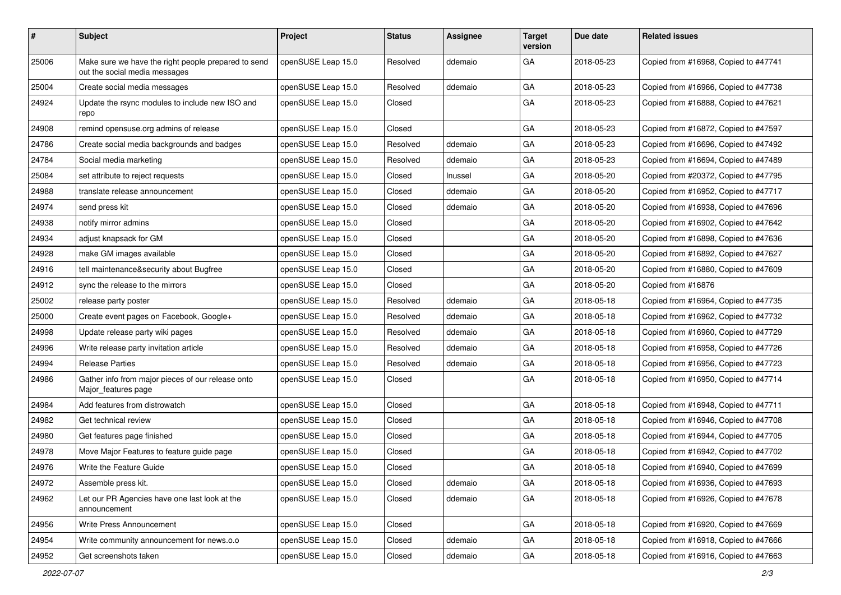| #     | <b>Subject</b>                                                                       | Project            | <b>Status</b> | <b>Assignee</b> | <b>Target</b><br>version | Due date   | <b>Related issues</b>                |
|-------|--------------------------------------------------------------------------------------|--------------------|---------------|-----------------|--------------------------|------------|--------------------------------------|
| 25006 | Make sure we have the right people prepared to send<br>out the social media messages | openSUSE Leap 15.0 | Resolved      | ddemaio         | GA                       | 2018-05-23 | Copied from #16968, Copied to #47741 |
| 25004 | Create social media messages                                                         | openSUSE Leap 15.0 | Resolved      | ddemaio         | GA                       | 2018-05-23 | Copied from #16966, Copied to #47738 |
| 24924 | Update the rsync modules to include new ISO and<br>repo                              | openSUSE Leap 15.0 | Closed        |                 | GA                       | 2018-05-23 | Copied from #16888, Copied to #47621 |
| 24908 | remind opensuse.org admins of release                                                | openSUSE Leap 15.0 | Closed        |                 | GA                       | 2018-05-23 | Copied from #16872, Copied to #47597 |
| 24786 | Create social media backgrounds and badges                                           | openSUSE Leap 15.0 | Resolved      | ddemaio         | GA                       | 2018-05-23 | Copied from #16696, Copied to #47492 |
| 24784 | Social media marketing                                                               | openSUSE Leap 15.0 | Resolved      | ddemaio         | GA                       | 2018-05-23 | Copied from #16694, Copied to #47489 |
| 25084 | set attribute to reject requests                                                     | openSUSE Leap 15.0 | Closed        | Inussel         | GA                       | 2018-05-20 | Copied from #20372, Copied to #47795 |
| 24988 | translate release announcement                                                       | openSUSE Leap 15.0 | Closed        | ddemaio         | GA                       | 2018-05-20 | Copied from #16952, Copied to #47717 |
| 24974 | send press kit                                                                       | openSUSE Leap 15.0 | Closed        | ddemaio         | GA                       | 2018-05-20 | Copied from #16938, Copied to #47696 |
| 24938 | notify mirror admins                                                                 | openSUSE Leap 15.0 | Closed        |                 | GA                       | 2018-05-20 | Copied from #16902, Copied to #47642 |
| 24934 | adjust knapsack for GM                                                               | openSUSE Leap 15.0 | Closed        |                 | GA                       | 2018-05-20 | Copied from #16898, Copied to #47636 |
| 24928 | make GM images available                                                             | openSUSE Leap 15.0 | Closed        |                 | GA                       | 2018-05-20 | Copied from #16892, Copied to #47627 |
| 24916 | tell maintenance&security about Bugfree                                              | openSUSE Leap 15.0 | Closed        |                 | GA                       | 2018-05-20 | Copied from #16880, Copied to #47609 |
| 24912 | sync the release to the mirrors                                                      | openSUSE Leap 15.0 | Closed        |                 | GA                       | 2018-05-20 | Copied from #16876                   |
| 25002 | release party poster                                                                 | openSUSE Leap 15.0 | Resolved      | ddemaio         | GA                       | 2018-05-18 | Copied from #16964, Copied to #47735 |
| 25000 | Create event pages on Facebook, Google+                                              | openSUSE Leap 15.0 | Resolved      | ddemaio         | GA                       | 2018-05-18 | Copied from #16962, Copied to #47732 |
| 24998 | Update release party wiki pages                                                      | openSUSE Leap 15.0 | Resolved      | ddemaio         | GA                       | 2018-05-18 | Copied from #16960, Copied to #47729 |
| 24996 | Write release party invitation article                                               | openSUSE Leap 15.0 | Resolved      | ddemaio         | GA                       | 2018-05-18 | Copied from #16958, Copied to #47726 |
| 24994 | <b>Release Parties</b>                                                               | openSUSE Leap 15.0 | Resolved      | ddemaio         | GA                       | 2018-05-18 | Copied from #16956, Copied to #47723 |
| 24986 | Gather info from major pieces of our release onto<br>Major features page             | openSUSE Leap 15.0 | Closed        |                 | GA                       | 2018-05-18 | Copied from #16950, Copied to #47714 |
| 24984 | Add features from distrowatch                                                        | openSUSE Leap 15.0 | Closed        |                 | GA                       | 2018-05-18 | Copied from #16948, Copied to #47711 |
| 24982 | Get technical review                                                                 | openSUSE Leap 15.0 | Closed        |                 | GA                       | 2018-05-18 | Copied from #16946, Copied to #47708 |
| 24980 | Get features page finished                                                           | openSUSE Leap 15.0 | Closed        |                 | GA                       | 2018-05-18 | Copied from #16944, Copied to #47705 |
| 24978 | Move Major Features to feature guide page                                            | openSUSE Leap 15.0 | Closed        |                 | GA                       | 2018-05-18 | Copied from #16942, Copied to #47702 |
| 24976 | Write the Feature Guide                                                              | openSUSE Leap 15.0 | Closed        |                 | GA                       | 2018-05-18 | Copied from #16940, Copied to #47699 |
| 24972 | Assemble press kit.                                                                  | openSUSE Leap 15.0 | Closed        | ddemaio         | GA                       | 2018-05-18 | Copied from #16936, Copied to #47693 |
| 24962 | Let our PR Agencies have one last look at the<br>announcement                        | openSUSE Leap 15.0 | Closed        | ddemaio         | GA                       | 2018-05-18 | Copied from #16926, Copied to #47678 |
| 24956 | Write Press Announcement                                                             | openSUSE Leap 15.0 | Closed        |                 | GA                       | 2018-05-18 | Copied from #16920, Copied to #47669 |
| 24954 | Write community announcement for news.o.o                                            | openSUSE Leap 15.0 | Closed        | ddemaio         | GA                       | 2018-05-18 | Copied from #16918, Copied to #47666 |
| 24952 | Get screenshots taken                                                                | openSUSE Leap 15.0 | Closed        | ddemaio         | ${\sf GA}$               | 2018-05-18 | Copied from #16916, Copied to #47663 |